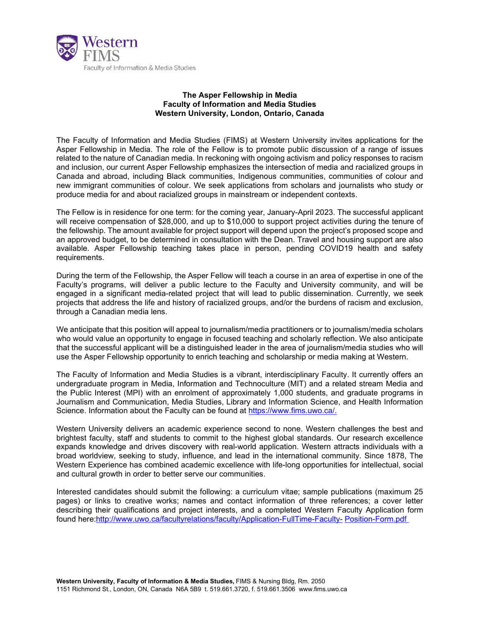

## **The Asper Fellowship in Media Faculty of Information and Media Studies Western University, London, Ontario, Canada**

The Faculty of Information and Media Studies (FIMS) at Western University invites applications for the Asper Fellowship in Media. The role of the Fellow is to promote public discussion of a range of issues related to the nature of Canadian media. In reckoning with ongoing activism and policy responses to racism and inclusion, our current Asper Fellowship emphasizes the intersection of media and racialized groups in Canada and abroad, including Black communities, Indigenous communities, communities of colour and new immigrant communities of colour. We seek applications from scholars and journalists who study or produce media for and about racialized groups in mainstream or independent contexts.

The Fellow is in residence for one term: for the coming year, January-April 2023. The successful applicant will receive compensation of \$28,000, and up to \$10,000 to support project activities during the tenure of the fellowship. The amount available for project support will depend upon the project's proposed scope and an approved budget, to be determined in consultation with the Dean. Travel and housing support are also available. Asper Fellowship teaching takes place in person, pending COVID19 health and safety requirements.

During the term of the Fellowship, the Asper Fellow will teach a course in an area of expertise in one of the Faculty's programs, will deliver a public lecture to the Faculty and University community, and will be engaged in a significant media-related project that will lead to public dissemination. Currently, we seek projects that address the life and history of racialized groups, and/or the burdens of racism and exclusion, through a Canadian media lens.

We anticipate that this position will appeal to journalism/media practitioners or to journalism/media scholars who would value an opportunity to engage in focused teaching and scholarly reflection. We also anticipate that the successful applicant will be a distinguished leader in the area of journalism/media studies who will use the Asper Fellowship opportunity to enrich teaching and scholarship or media making at Western.

The Faculty of Information and Media Studies is a vibrant, interdisciplinary Faculty. It currently offers an undergraduate program in Media, Information and Technoculture (MIT) and a related stream Media and the Public Interest (MPI) with an enrolment of approximately 1,000 students, and graduate programs in Journalism and Communication, Media Studies, Library and Information Science, and Health Information Science. Information about the Faculty can be found at [https://www.fims.uwo.ca/.](https://www.fims.uwo.ca/)

Western University delivers an academic experience second to none. Western challenges the best and brightest faculty, staff and students to commit to the highest global standards. Our research excellence expands knowledge and drives discovery with real-world application. Western attracts individuals with a broad worldview, seeking to study, influence, and lead in the international community. Since 1878, The Western Experience has combined academic excellence with life-long opportunities for intellectual, social and cultural growth in order to better serve our communities.

Interested candidates should submit the following: a curriculum vitae; sample publications (maximum 25 pages) or links to creative works; names and contact information of three references; a cover letter describing their qualifications and project interests, and a completed Western Faculty Application form found here[:http://www.uwo.ca/facultyrelations/faculty/Application-FullTime-Faculty-](http://www.uwo.ca/facultyrelations/faculty/Application-FullTime-Faculty-Position-Form.pdf) [Position-Form.pdf](http://www.uwo.ca/facultyrelations/faculty/Application-FullTime-Faculty-Position-Form.pdf)